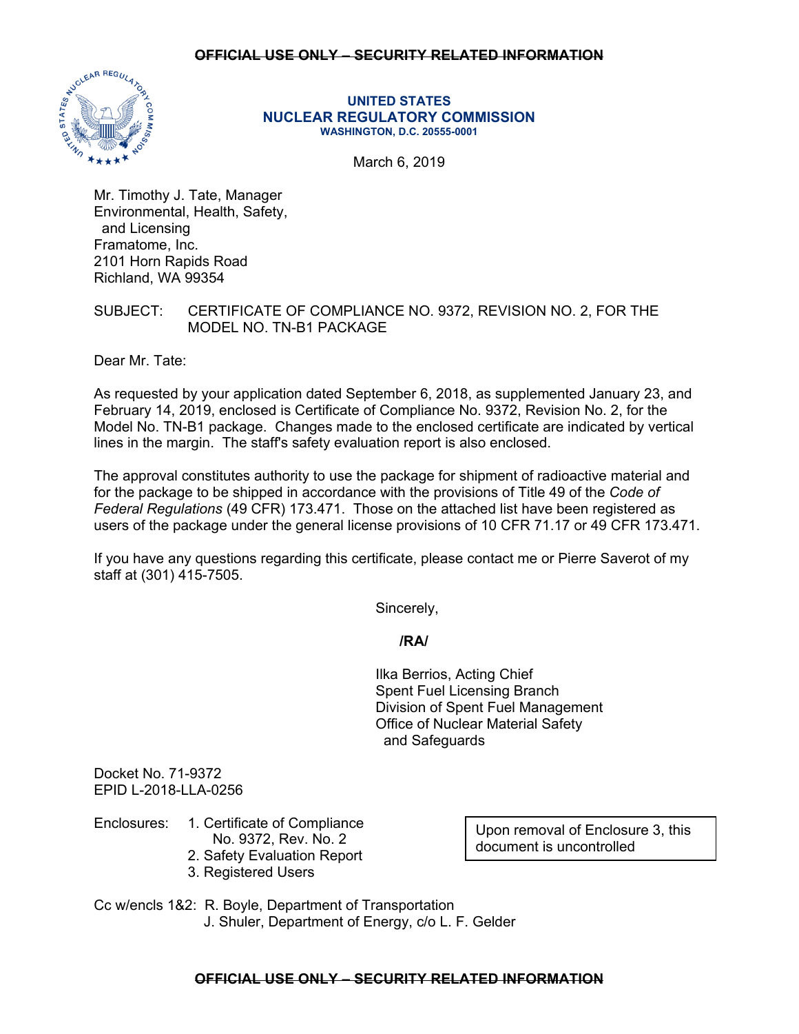### **OFFICIAL USE ONLY – SECURITY RELATED INFORMATION**



#### **UNITED STATES NUCLEAR REGULATORY COMMISSION WASHINGTON, D.C. 20555-0001**

March 6, 2019

Mr. Timothy J. Tate, Manager Environmental, Health, Safety, and Licensing Framatome, Inc. 2101 Horn Rapids Road Richland, WA 99354

# SUBJECT: CERTIFICATE OF COMPLIANCE NO. 9372, REVISION NO. 2, FOR THE MODEL NO. TN-B1 PACKAGE

Dear Mr. Tate:

As requested by your application dated September 6, 2018, as supplemented January 23, and February 14, 2019, enclosed is Certificate of Compliance No. 9372, Revision No. 2, for the Model No. TN-B1 package. Changes made to the enclosed certificate are indicated by vertical lines in the margin. The staff's safety evaluation report is also enclosed.

The approval constitutes authority to use the package for shipment of radioactive material and for the package to be shipped in accordance with the provisions of Title 49 of the *Code of Federal Regulations* (49 CFR) 173.471. Those on the attached list have been registered as users of the package under the general license provisions of 10 CFR 71.17 or 49 CFR 173.471.

If you have any questions regarding this certificate, please contact me or Pierre Saverot of my staff at (301) 415-7505.

Sincerely,

 **/RA/** 

 Ilka Berrios, Acting Chief Spent Fuel Licensing Branch Division of Spent Fuel Management Office of Nuclear Material Safety and Safeguards

Docket No. 71-9372 EPID L-2018-LLA-0256

# Enclosures: 1. Certificate of Compliance

- No. 9372, Rev. No. 2
- 2. Safety Evaluation Report
- 3. Registered Users

Upon removal of Enclosure 3, this document is uncontrolled

Cc w/encls 1&2: R. Boyle, Department of Transportation J. Shuler, Department of Energy, c/o L. F. Gelder

## **OFFICIAL USE ONLY – SECURITY RELATED INFORMATION**